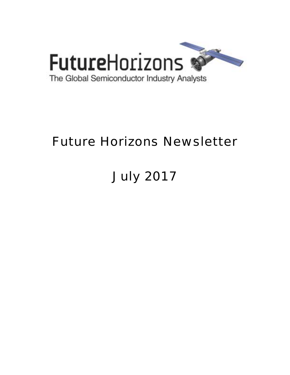

# Future Horizons Newsletter

# July 2017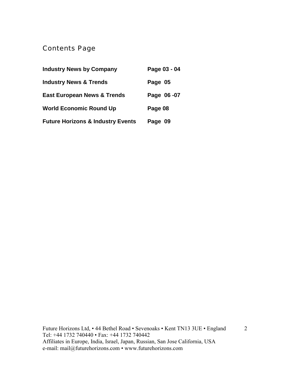## Contents Page

| <b>Industry News by Company</b>              | Page 03 - 04 |
|----------------------------------------------|--------------|
| <b>Industry News &amp; Trends</b>            | Page 05      |
| <b>East European News &amp; Trends</b>       | Page 06-07   |
| <b>World Economic Round Up</b>               | Page 08      |
| <b>Future Horizons &amp; Industry Events</b> | Page 09      |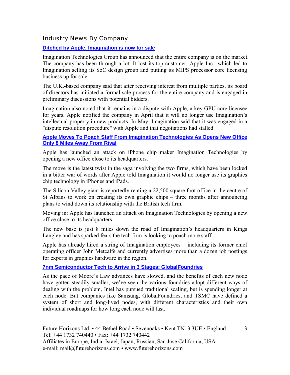Industry News By Company

**[Ditched by Apple, Imagination is now for sale](http://www.eetasia.com/news/article/ditched-by-apple-imagination-is-now-for-sale?utm_source=EETI%20Article%20Alert&utm_medium=Email&utm_campaign=2017-06-27)**

Imagination Technologies Group has announced that the entire company is on the market. The company has been through a lot. It lost its top customer, Apple Inc., which led to Imagination selling its SoC design group and putting its MIPS processor core licensing business up for sale.

The U.K.-based company said that after receiving interest from multiple parties, its board of directors has initiated a formal sale process for the entire company and is engaged in preliminary discussions with potential bidders.

Imagination also noted that it remains in a dispute with Apple, a key GPU core licensee for years. Apple notified the company in April that it will no longer use Imagination's intellectual property in new products. In May, Imagination said that it was engaged in a "dispute resolution procedure" with Apple and that negotiations had stalled.

#### **[Apple Moves To Poach Staff From Imagination Technologies As Opens New Office](http://www.thisismoney.co.uk/money/news/article-4680098/Apple-moves-poach-staff-Imagination-Technologies.html)  [Only 8 Miles Away From Rival](http://www.thisismoney.co.uk/money/news/article-4680098/Apple-moves-poach-staff-Imagination-Technologies.html)**

Apple has launched an attack on iPhone chip maker Imagination Technologies by opening a new office close to its headquarters.

The move is the latest twist in the saga involving the two firms, which have been locked in a bitter war of words after Apple told Imagination it would no longer use its graphics chip technology in iPhones and iPads.

The Silicon Valley giant is reportedly renting a 22,500 square foot office in the centre of St Albans to work on creating its own graphic chips  $-$  three months after announcing plans to wind down its relationship with the British tech firm.

Moving in: Apple has launched an attack on Imagination Technologies by opening a new office close to its headquarters

The new base is just 8 miles down the road of Imagination's headquarters in Kings Langley and has sparked fears the tech firm is looking to poach more staff.

Apple has already hired a string of Imagination employees  $-$  including its former chief operating officer John Metcalfe and currently advertises more than a dozen job postings for experts in graphics hardware in the region.

#### **7nm Semiconductor Tech to Arrive in 3 Stages: GlobalFoundries**

As the pace of Moore's Law advances have slowed, and the benefits of each new node have gotten steadily smaller, we've seen the various foundries adopt different ways of dealing with the problem. Intel has pursued traditional scaling, but is spending longer at each node. But companies like Samsung, GlobalFoundries, and TSMC have defined a system of short and long-lived nodes, with different characteristics and their own individual roadmaps for how long each node will last.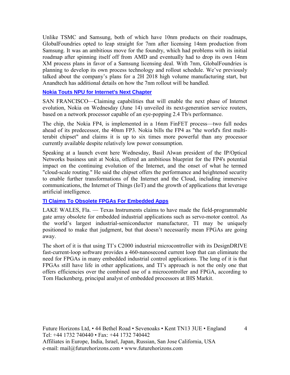Unlike TSMC and Samsung, both of which have 10nm products on their roadmaps, GlobalFoundries opted to leap straight for 7nm after licensing 14nm production from Samsung. It was an ambitious move for the foundry, which had problems with its initial roadmap after spinning itself off from AMD and eventually had to drop its own 14nm XM process plans in favor of a Samsung licensing deal. With 7nm, GlobalFoundries is planning to develop its own process technology and rollout schedule. We've previously talked about the company's plans for a 2H 2018 high volume manufacturing start, but Anandtech has additional details on how the 7nm rollout will be handled.

#### **[Nokia Touts NPU for Internet's Next Chapter](http://www.eetimes.com/document.asp?doc_id=1331900&_mc=RSS_EET_EDT)**

SAN FRANCISCO—Claiming capabilities that will enable the next phase of Internet evolution, Nokia on Wednesday (June 14) unveiled its next-generation service routers, based on a network processor capable of an eye-popping 2.4 Tb/s performance.

The chip, the Nokia FP4, is implemented in a 16nm FinFET process—two full nodes ahead of its predecessor, the 40nm FP3. Nokia bills the FP4 as "the world's first multiterabit chipset" and claims it is up to six times more powerful than any processor currently available despite relatively low power consumption.

Speaking at a launch event here Wednesday, Basil Alwan president of the IP/Optical Networks business unit at Nokia, offered an ambitious blueprint for the FP4's potential impact on the continuing evolution of the Internet, and the onset of what he termed "cloud-scale routing." He said the chipset offers the performance and heightened security to enable further transformations of the Internet and the Cloud, including immersive communications, the Internet of Things (IoT) and the growth of applications that leverage artificial intelligence.

#### **[TI Claims To Obsolete FPGAs For Embedded Apps](http://www.eetimes.com/document.asp?doc_id=1331983&_mc=RSS_EET_EDT)**

LAKE WALES, Fla.  $-$  Texas Instruments claims to have made the field-programmable gate array obsolete for embedded industrial applications such as servo-motor control. As the world's largest industrial-semiconductor manufacturer, TI may be uniquely positioned to make that judgment, but that doesn't necessarily mean FPGAs are going away.

The short of it is that using TI's C2000 industrial microcontroller with its DesignDRIVE fast-current-loop software provides a 460-nanosecond current loop that can eliminate the need for FPGAs in many embedded industrial control applications. The long of it is that FPGAs still have life in other applications, and TI's approach is not the only one that offers efficiencies over the combined use of a microcontroller and FPGA, according to Tom Hackenberg, principal analyst of embedded processors at IHS Markit.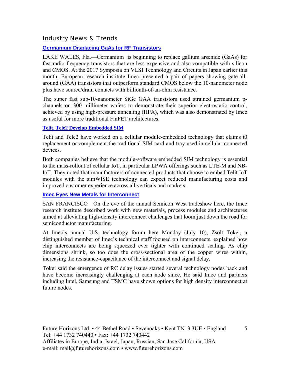#### Industry News & Trends

#### **[Germanium Displacing GaAs for RF Transistors](http://www.eetimes.com/document.asp?doc_id=1331888&_mc=RSS_EET_EDT)**

LAKE WALES, Fla.—Germanium is beginning to replace gallium arsenide (GaAs) for fast radio frequency transistors that are less expensive and also compatible with silicon and CMOS. At the 2017 Symposia on VLSI Technology and Circuits in Japan earlier this month, European research institute Imec presented a pair of papers showing gate-allaround (GAA) transistors that outperform standard CMOS below the 10-nanometer node plus have source/drain contacts with billionth-of-an-ohm resistance.

The super fast sub-10-nanometer SiGe GAA transistors used strained germanium pchannels on 300 millimeter wafers to demonstrate their superior electrostatic control, achieved by using high-pressure annealing (HPA), which was also demonstrated by Imec as useful for more traditional FinFET architectures.

#### **[Telit, Tele2 Develop Embedded SIM](http://www.eetindia.co.in/news/article/telit-tele2-develop-embedded-sim?utm_source=EETI%20Article%20Alert&utm_medium=Email&utm_campaign=2017-06-28)**

Telit and Tele2 have worked on a cellular module-embedded technology that claims t0 replacement or complement the traditional SIM card and tray used in cellular-connected devices.

Both companies believe that the module-software embedded SIM technology is essential to the mass-rollout of cellular IoT, in particular LPWA offerings such as LTE-M and NB-IoT. They noted that manufacturers of connected products that choose to embed Telit IoT modules with the simWISE technology can expect reduced manufacturing costs and improved customer experience across all verticals and markets.

**[Imec Eyes New Metals for Interconnect](http://www.eetimes.com/document.asp?doc_id=1331993&_mc=RSS_EET_EDT)**

SAN FRANCISCO—On the eve of the annual Semicon West tradeshow here, the Imec research institute described work with new materials, process modules and architectures aimed at alleviating high-density interconnect challenges that loom just down the road for semiconductor manufacturing.

At Imec's annual U.S. technology forum here Monday (July 10), Zsolt Tokei, a distinguished member of Imec's technical staff focused on interconnects, explained how chip interconnects are being squeezed ever tighter with continued scaling. As chip dimensions shrink, so too does the cross-sectional area of the copper wires within, increasing the resistance-capacitance of the interconnect and signal delay.

Tokei said the emergence of RC delay issues started several technology nodes back and have become increasingly challenging at each node since. He said Imec and partners including Intel, Samsung and TSMC have shown options for high density interconnect at future nodes.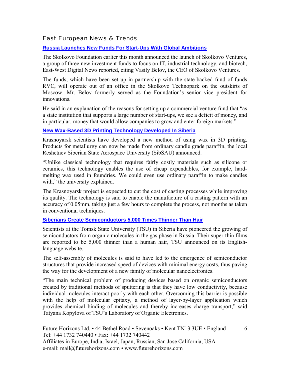#### East European News & Trends

#### **[Russia Launches New Funds For Start-Ups With Global Ambitions](http://www.marchmontnews.com/Finance-Business/Central-regions/21820-Russia-launches-new-funds-for-start-ups-with-global-ambitions.html)**

The Skolkovo Foundation earlier this month announced the launch of Skolkovo Ventures, a group of three new investment funds to focus on IT, industrial technology, and biotech, East-West Digital News reported, citing Vasily Belov, the CEO of Skolkovo Ventures.

The funds, which have been set up in partnership with the state-backed fund of funds RVC, will operate out of an office in the Skolkovo Technopark on the outskirts of Moscow. Mr. Belov formerly served as the Foundation's senior vice president for innovations.

He said in an explanation of the reasons for setting up a commercial venture fund that "as a state institution that supports a large number of start-ups, we see a deficit of money, and in particular, money that would allow companies to grow and enter foreign markets."

#### **[New Wax-Based 3D Printing Technology Developed In Siberia](http://www.marchmontnews.com/Industry-Manufacturing/Siberia/21819-New-wax-based-3D-printing-technology-developed-Siberia-.html)**

Krasnoyarsk scientists have developed a new method of using wax in 3D printing. Products for metallurgy can now be made from ordinary candle grade paraffin, the local Reshetnev Siberian State Aerospace University (SibSAU) announced.

ìUnlike classical technology that requires fairly costly materials such as silicone or ceramics, this technology enables the use of cheap expendables, for example, hardmelting wax used in foundries. We could even use ordinary paraffin to make candles with," the university explained.

The Krasnoyarsk project is expected to cut the cost of casting processes while improving its quality. The technology is said to enable the manufacture of a casting pattern with an accuracy of 0.05mm, taking just a few hours to complete the process, not months as taken in conventional techniques.

#### **[Siberians Create Semiconductors 5,000 Times Thinner Than Hair](http://www.marchmontnews.com/Technology-Innovation/Siberia/21812-Siberians-create-semiconductors-5000-times-thinner-than-hair.html)**

Scientists at the Tomsk State University (TSU) in Siberia have pioneered the growing of semiconductors from organic molecules in the gas phase in Russia. Their super-thin films are reported to be 5,000 thinner than a human hair, TSU announced on its Englishlanguage website.

The self-assembly of molecules is said to have led to the emergence of semiconductor structures that provide increased speed of devices with minimal energy costs, thus paving the way for the development of a new family of molecular nanoelectronics.

ìThe main technical problem of producing devices based on organic semiconductors created by traditional methods of sputtering is that they have low conductivity, because individual molecules interact poorly with each other. Overcoming this barrier is possible with the help of molecular epitaxy, a method of layer-by-layer application which provides chemical binding of molecules and thereby increases charge transport," said Tatyana Kopylova of TSU's Laboratory of Organic Electronics.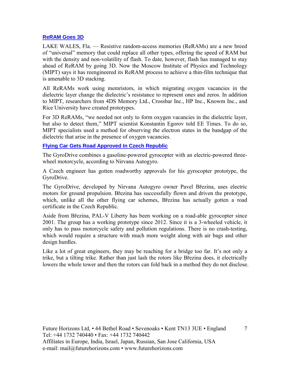#### **[ReRAM Goes 3D](http://www.eetimes.com/document.asp?doc_id=1331966&_mc=RSS_EET_EDT)**

LAKE WALES, Fla. – Resistive random-access memories (ReRAMs) are a new breed of "universal" memory that could replace all other types, offering the speed of RAM but with the density and non-volatility of flash. To date, however, flash has managed to stay ahead of ReRAM by going 3D. Now the Moscow Institute of Physics and Technology (MIPT) says it has reengineered its ReRAM process to achieve a thin-film technique that is amenable to 3D stacking.

All ReRAMs work using memristors, in which migrating oxygen vacancies in the dielectric layer change the dielectric's resistance to represent ones and zeros. In addition to MIPT, researchers from 4DS Memory Ltd., Crossbar Inc., HP Inc., Knowm Inc., and Rice University have created prototypes.

For 3D ReRAMs, "we needed not only to form oxygen vacancies in the dielectric layer, but also to detect them," MIPT scientist Konstantin Egorov told EE Times. To do so, MIPT specialists used a method for observing the electron states in the bandgap of the dielectric that arise in the presence of oxygen vacancies.

#### **[Flying Car Gets Road Approved In Czech Republic](http://www.ednasia.com/news/article/flying-car-gets-road-approved-in-czech-republic?utm_source=EETI%20Article%20Alert&utm_medium=Email&utm_campaign=2017-07-17)**

The GyroDrive combines a gasoline-powered gyrocopter with an electric-powered threewheel motorcycle, according to Nirvana Autogyro.

A Czech engineer has gotten roadworthy approvals for his gyrocopter prototype, the GyroDrive.

The GyroDrive, developed by Nirvana Autogyro owner Pavel Březina, uses electric motors for ground propulsion. Březina has successfully flown and driven the prototype, which, unlike all the other flying car schemes, Březina has actually gotten a road certificate in the Czech Republic.

Aside from Březina, PAL-V Liberty has been working on a road-able gyrocopter since 2001. The group has a working prototype since 2012. Since it is a 3-wheeled vehicle, it only has to pass motorcycle safety and pollution regulations. There is no crash-testing, which would require a structure with much more weight along with air bags and other design hurdles.

Like a lot of great engineers, they may be reaching for a bridge too far. It's not only a trike, but a tilting trike. Rather than just lash the rotors like Březina does, it electrically lowers the whole tower and then the rotors can fold back in a method they do not disclose.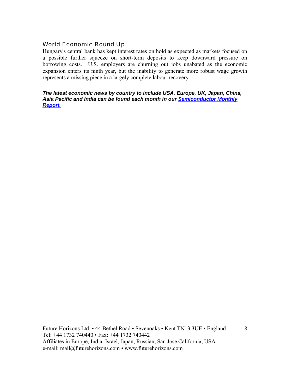#### World Economic Round Up

Hungary's central bank has kept interest rates on hold as expected as markets focused on a possible further squeeze on short-term deposits to keep downward pressure on borrowing costs. U.S. employers are churning out jobs unabated as the economic expansion enters its ninth year, but the inability to generate more robust wage growth represents a missing piece in a largely complete labour recovery.

#### *The latest economic news by country to include USA, Europe, UK, Japan, China, Asia Pacific and India can be found each month in our [Semiconductor Monthly](http://www.futurehorizons.com/page/18/Global-Semiconductor-Report)  [Report.](http://www.futurehorizons.com/page/18/Global-Semiconductor-Report)*